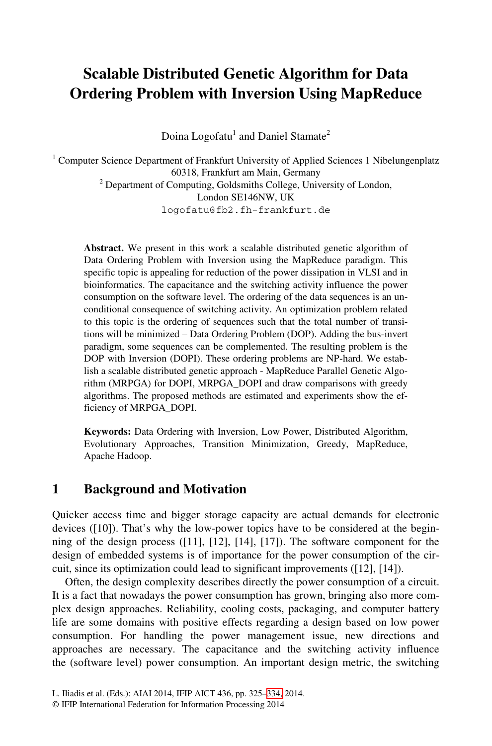# **Scalable Distributed Genetic Algorithm for Data Ordering Problem with Inversion Using MapReduce**

Doina Logofatu<sup>1</sup> and Daniel Stamate<sup>2</sup>

<sup>1</sup> Computer Science Department of Frankfurt University of Applied Sciences 1 Nibelungenplatz 60318, Frankfurt am Main, Germany 2 Department of Computing, Goldsmiths College, University of London, London SE146NW, UK logofatu@fb2.fh-frankfurt.de

**Abstract.** We present in this work a scalable distributed genetic algorithm of Data Ordering Problem with Inversion using the MapReduce paradigm. This specific topic is appealing for reduction of the power dissipation in VLSI and in bioinformatics. The capacitance and the switching activity influence the power consumption on the software level. The ordering of the data sequences is an unconditional consequence of switching activity. An optimization problem related to this topic is the ordering of sequences such that the total number of transitions will be minimized – Data Ordering Problem (DOP). Adding the bus-invert paradigm, some sequences can be complemented. The resulting problem is the DOP with Inversion (DOPI). These ordering problems are NP-hard. We establish a scalable distributed genetic approach - MapReduce Parallel Genetic Algorithm (MRPGA) for DOPI, MRPGA\_DOPI and draw comparisons with greedy algorithms. The proposed methods are estimated and experiments show the efficiency of MRPGA\_DOPI.

**Keywords:** Data Ordering with Inversion, Low Power, Distributed Algorithm, Evolutionary Approaches, Transition Minimization, Greedy, MapReduce, Apache Hadoop.

#### **1 Background and Motivation**

Quicker access time and bigger storage capacity are actual demands for electronic devices ([10]). That's why the low-power topics have to be considered at the beginning of the design process ([11], [12], [14], [17]). The software component for the design of embedded systems is of importance for the power consumption of the circuit, since its optimization could lead to significant improvements ([12], [14]).

Often, the design complexity describes directly the power consumption of a circuit. It is a fact that nowadays th[e po](#page-9-0)wer consumption has grown, bringing also more complex design approaches. Reliability, cooling costs, packaging, and computer battery life are some domains with positive effects regarding a design based on low power consumption. For handling the power management issue, new directions and approaches are necessary. The capacitance and the switching activity influence the (software level) power consumption. An important design metric, the switching

L. Iliadis et al. (Eds.): AIAI 2014, IFIP AICT 436, pp. 325–334, 2014.

<sup>©</sup> IFIP International Federation for Information Processing 2014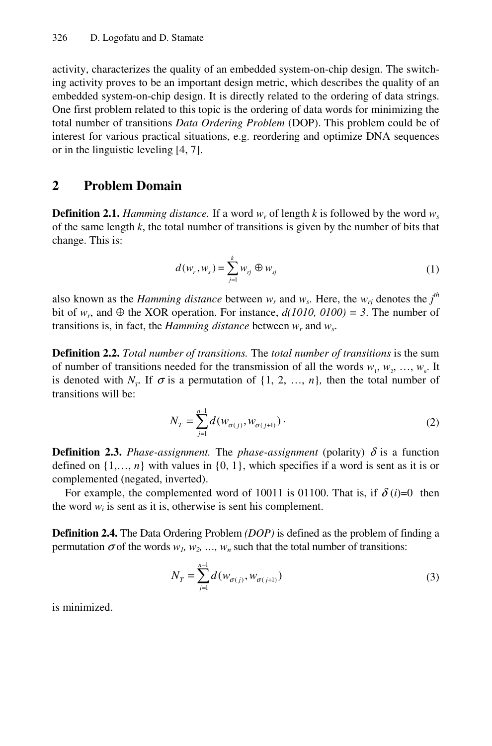activity, characterizes the quality of an embedded system-on-chip design. The switching activity proves to be an important design metric, which describes the quality of an embedded system-on-chip design. It is directly related to the ordering of data strings. One first problem related to this topic is the ordering of data words for minimizing the total number of transitions *Data Ordering Problem* (DOP). This problem could be of interest for various practical situations, e.g. reordering and optimize DNA sequences or in the linguistic leveling [4, 7].

#### **2 Problem Domain**

**Definition 2.1.** *Hamming distance.* If a word  $w_r$  of length *k* is followed by the word  $w_s$ of the same length *k*, the total number of transitions is given by the number of bits that change. This is:

$$
d(w_r, w_s) = \sum_{j=1}^k w_{rj} \oplus w_{sj} \tag{1}
$$

also known as the *Hamming distance* between  $w_r$  and  $w_s$ . Here, the  $w_{rj}$  denotes the  $j^{\text{th}}$ bit of  $w_r$ , and  $\oplus$  the XOR operation. For instance,  $d(1010, 0100) = 3$ . The number of transitions is, in fact, the *Hamming distance* between  $w_r$  and  $w_s$ .

**Definition 2.2.** *Total number of transitions.* The *total number of transitions* is the sum of number of transitions needed for the transmission of all the words  $w_1, w_2, ..., w_n$ . It is denoted with  $N_r$ . If  $\sigma$  is a permutation of  $\{1, 2, ..., n\}$ , then the total number of transitions will be:

$$
N_T = \sum_{j=1}^{n-1} d(w_{\sigma(j)}, w_{\sigma(j+1)})
$$
 (2)

**Definition 2.3.** *Phase-assignment.* The *phase-assignment* (polarity)  $\delta$  is a function defined on  $\{1, \ldots, n\}$  with values in  $\{0, 1\}$ , which specifies if a word is sent as it is or complemented (negated, inverted).

For example, the complemented word of 10011 is 01100. That is, if  $\delta(i)=0$  then the word  $w_i$  is sent as it is, otherwise is sent his complement.

**Definition 2.4.** The Data Ordering Problem *(DOP)* is defined as the problem of finding a permutation  $\sigma$  of the words  $w_1, w_2, ..., w_n$  such that the total number of transitions:

$$
N_T = \sum_{j=1}^{n-1} d(w_{\sigma(j)}, w_{\sigma(j+1)})
$$
\n(3)

is minimized.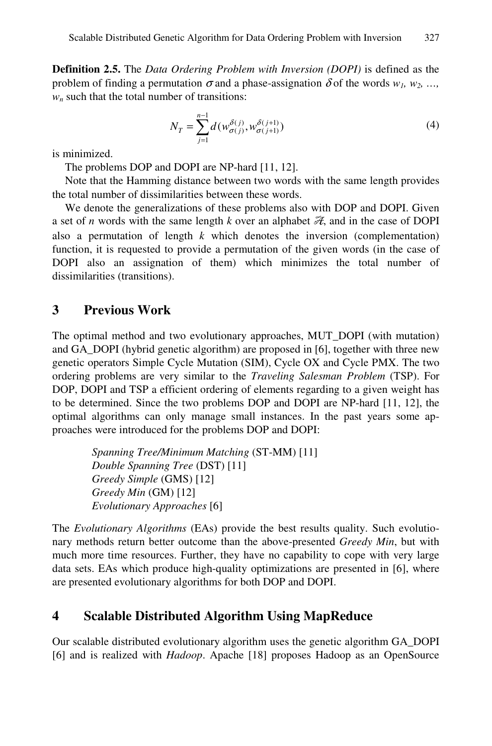**Definition 2.5.** The *Data Ordering Problem with Inversion (DOPI)* is defined as the problem of finding a permutation  $\sigma$  and a phase-assignation  $\delta$  of the words  $w_1, w_2, ...,$  $w_n$  such that the total number of transitions:

$$
N_T = \sum_{j=1}^{n-1} d(w_{\sigma(j)}^{\delta(j)}, w_{\sigma(j+1)}^{\delta(j+1)})
$$
(4)

is minimized.

The problems DOP and DOPI are NP-hard [11, 12].

Note that the Hamming distance between two words with the same length provides the total number of dissimilarities between these words.

We denote the generalizations of these problems also with DOP and DOPI. Given a set of *n* words with the same length *k* over an alphabet  $\mathcal{R}$ , and in the case of DOPI also a permutation of length *k* which denotes the inversion (complementation) function, it is requested to provide a permutation of the given words (in the case of DOPI also an assignation of them) which minimizes the total number of dissimilarities (transitions).

#### **3 Previous Work**

The optimal method and two evolutionary approaches, MUT\_DOPI (with mutation) and GA\_DOPI (hybrid genetic algorithm) are proposed in [6], together with three new genetic operators Simple Cycle Mutation (SIM), Cycle OX and Cycle PMX. The two ordering problems are very similar to the *Traveling Salesman Problem* (TSP). For DOP, DOPI and TSP a efficient ordering of elements regarding to a given weight has to be determined. Since the two problems DOP and DOPI are NP-hard [11, 12], the optimal algorithms can only manage small instances. In the past years some approaches were introduced for the problems DOP and DOPI:

> *Spanning Tree/Minimum Matching* (ST-MM) [11] *Double Spanning Tree* (DST) [11] *Greedy Simple* (GMS) [12] *Greedy Min* (GM) [12] *Evolutionary Approaches* [6]

The *Evolutionary Algorithms* (EAs) provide the best results quality. Such evolutionary methods return better outcome than the above-presented *Greedy Min*, but with much more time resources. Further, they have no capability to cope with very large data sets. EAs which produce high-quality optimizations are presented in [6], where are presented evolutionary algorithms for both DOP and DOPI.

#### **4 Scalable Distributed Algorithm Using MapReduce**

Our scalable distributed evolutionary algorithm uses the genetic algorithm GA\_DOPI [6] and is realized with *Hadoop*. Apache [18] proposes Hadoop as an OpenSource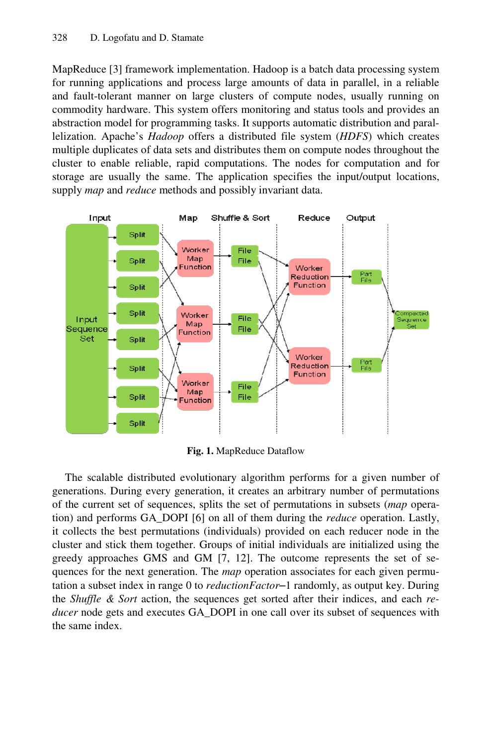MapReduce [3] framework implementation. Hadoop is a batch data processing system for running applications and process large amounts of data in parallel, in a reliable and fault-tolerant manner on large clusters of compute nodes, usually running on commodity hardware. This system offers monitoring and status tools and provides an abstraction model for programming tasks. It supports automatic distribution and parallelization. Apache's *Hadoop* offers a distributed file system (*HDFS*) which creates multiple duplicates of data sets and distributes them on compute nodes throughout the cluster to enable reliable, rapid computations. The nodes for computation and for storage are usually the same. The application specifies the input/output locations, supply *map* and *reduce* methods and possibly invariant data.



**Fig. 1.** MapReduce Dataflow

The scalable distributed evolutionary algorithm performs for a given number of generations. During every generation, it creates an arbitrary number of permutations of the current set of sequences, splits the set of permutations in subsets (*map* operation) and performs GA\_DOPI [6] on all of them during the *reduce* operation. Lastly, it collects the best permutations (individuals) provided on each reducer node in the cluster and stick them together. Groups of initial individuals are initialized using the greedy approaches GMS and GM [7, 12]. The outcome represents the set of sequences for the next generation. The *map* operation associates for each given permutation a subset index in range 0 to *reductionFactor*–1 randomly, as output key. During the *Shuffle & Sort* action, the sequences get sorted after their indices, and each *reducer* node gets and executes GA\_DOPI in one call over its subset of sequences with the same index.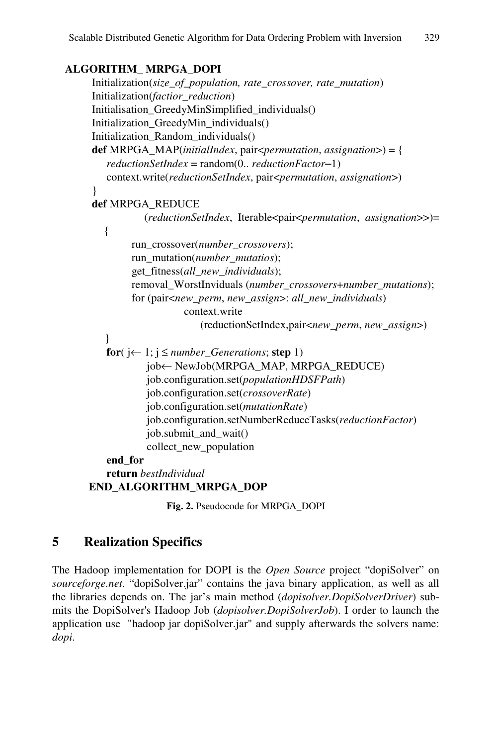#### **ALGORITHM\_ MRPGA\_DOPI**

```
 Initialization(size_of_population, rate_crossover, rate_mutation) 
 Initialization(factior_reduction) 
Initialisation_GreedyMinSimplified_individuals() 
Initialization_GreedyMin_individuals() 
 Initialization_Random_individuals() 
def MRPGA_MAP(initialIndex, pair<permutation, assignation>) = { 
   reductionSetIndex = random(0.. reductionFactor–1) 
   context.write(reductionSetIndex, pair<permutation, assignation>) 
} 
def MRPGA_REDUCE 
           (reductionSetIndex, Iterable<pair<permutation, assignation>>)= 
  { 
         run_crossover(number_crossovers); 
         run_mutation(number_mutatios); 
         get_fitness(all_new_individuals); 
        removal_WorstInviduals (number_crossovers+number_mutations); 
        for (pair<new_perm, new_assign>: all_new_individuals) 
                    context.write 
                        (reductionSetIndex,pair<new_perm, new_assign>) 
   } 
   for(i \leftarrow 1; i \leq number\,Generations; step 1)
           job← NewJob(MRPGA_MAP, MRPGA_REDUCE) 
           job.configuration.set(populationHDSFPath) 
           job.configuration.set(crossoverRate) 
           job.configuration.set(mutationRate) 
           job.configuration.setNumberReduceTasks(reductionFactor) 
           job.submit_and_wait() 
           collect_new_population 
   end_for 
   return bestIndividual
```
 **END\_ALGORITHM\_MRPGA\_DOP** 

**Fig. 2.** Pseudocode for MRPGA\_DOPI

### **5 Realization Specifics**

The Hadoop implementation for DOPI is the *Open Source* project "dopiSolver" on *sourceforge.net*. "dopiSolver.jar" contains the java binary application, as well as all the libraries depends on. The jar's main method (*dopisolver.DopiSolverDriver*) submits the DopiSolver's Hadoop Job (*dopisolver.DopiSolverJob*). I order to launch the application use "hadoop jar dopiSolver.jar" and supply afterwards the solvers name: *dopi*.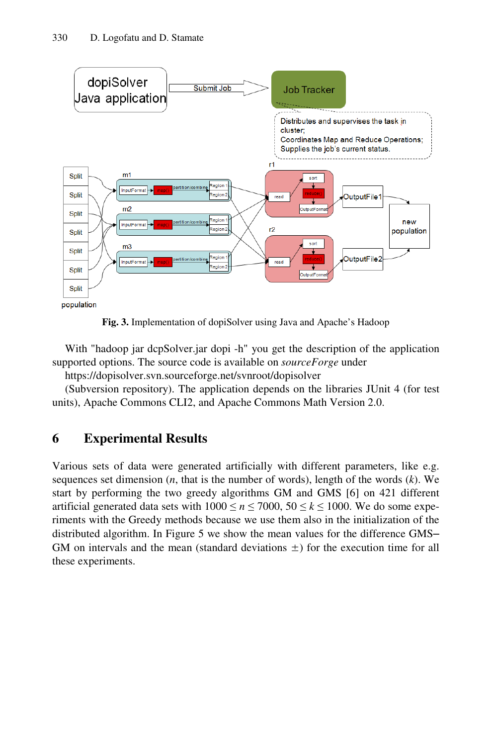

**Fig. 3.** Implementation of dopiSolver using Java and Apache's Hadoop

With "hadoop jar dcpSolver.jar dopi -h" you get the description of the application supported options. The source code is available on *sourceForge* under

https://dopisolver.svn.sourceforge.net/svnroot/dopisolver

(Subversion repository). The application depends on the libraries JUnit 4 (for test units), Apache Commons CLI2, and Apache Commons Math Version 2.0.

## **6 Experimental Results**

Various sets of data were generated artificially with different parameters, like e.g. sequences set dimension (*n*, that is the number of words), length of the words (*k*). We start by performing the two greedy algorithms GM and GMS [6] on 421 different artificial generated data sets with  $1000 \le n \le 7000$ ,  $50 \le k \le 1000$ . We do some experiments with the Greedy methods because we use them also in the initialization of the distributed algorithm. In Figure 5 we show the mean values for the difference GMS– GM on intervals and the mean (standard deviations  $\pm$ ) for the execution time for all these experiments.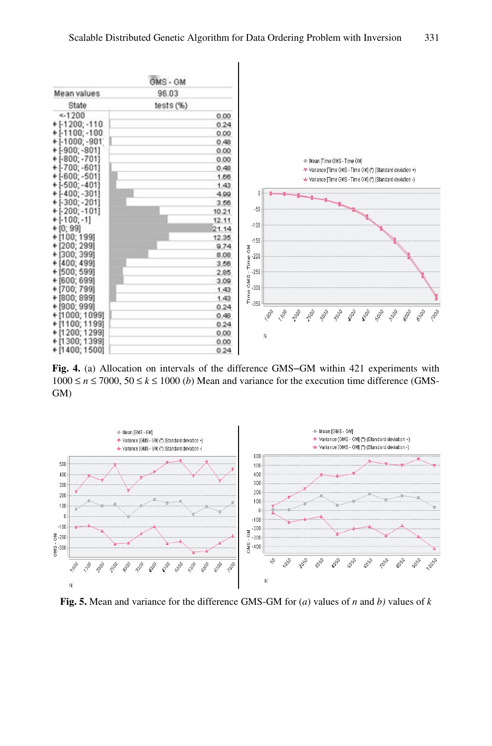

**Fig. 4.** (a) Allocation on intervals of the difference GMS–GM within 421 experiments with  $1000 \le n \le 7000$ ,  $50 \le k \le 1000$  *(b)* Mean and variance for the execution time difference (GMS-GM)



**Fig. 5.** Mean and variance for the difference GMS-GM for (*a*) values of *n* and *b)* values of *k*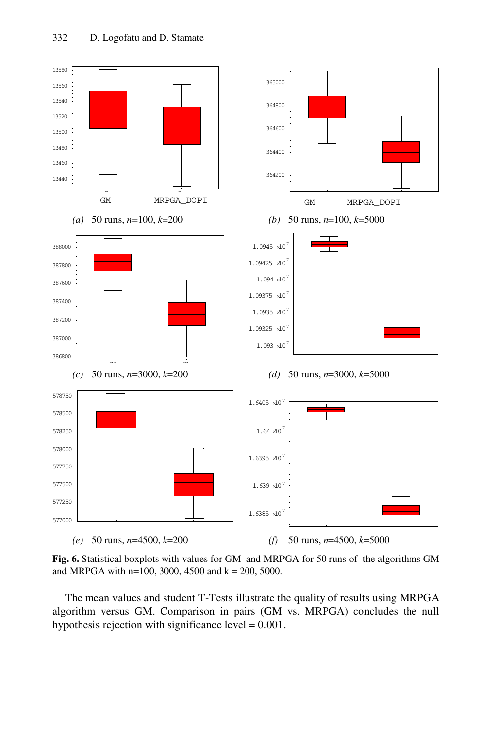

**Fig. 6.** Statistical boxplots with values for GM and MRPGA for 50 runs of the algorithms GM and MRPGA with n=100, 3000, 4500 and  $k = 200$ , 5000.

The mean values and student T-Tests illustrate the quality of results using MRPGA algorithm versus GM. Comparison in pairs (GM vs. MRPGA) concludes the null hypothesis rejection with significance level = 0.001.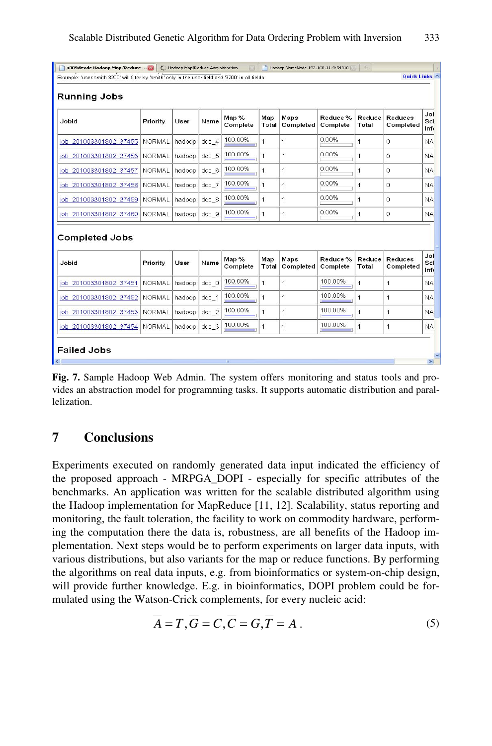| s009devde Hadoop Map/Reduce  E<br>Hadoop Map/Reduce Administration<br>[83]<br>Hadoop NameNode 192.168.11.9:54310<br>$\frac{1}{2} \frac{d^2\phi}{d\phi}$<br>Quick Links ^<br>Example: 'user:smith 3200' will filter by 'smith' only in the user field and '3200' in all fields |               |        |                  |                   |                |                   |                     |                 |                      |                    |
|-------------------------------------------------------------------------------------------------------------------------------------------------------------------------------------------------------------------------------------------------------------------------------|---------------|--------|------------------|-------------------|----------------|-------------------|---------------------|-----------------|----------------------|--------------------|
|                                                                                                                                                                                                                                                                               |               |        |                  |                   |                |                   |                     |                 |                      |                    |
| <b>Running Jobs</b>                                                                                                                                                                                                                                                           |               |        |                  |                   |                |                   |                     |                 |                      |                    |
| Jobid                                                                                                                                                                                                                                                                         | Priority      | User   | Name             | Map %<br>Complete | Map<br>Total   | Maps<br>Completed | Reduce%<br>Complete | Reduce<br>Total | Reduces<br>Completed | Jol<br>Scl<br>Inf. |
| job 201003301802 37455                                                                                                                                                                                                                                                        | <b>NORMAL</b> | hadoop | $dcp$ 4          | 100.00%           | $\overline{1}$ | 1                 | 0.00%               | 1               | $\overline{0}$       | <b>NA</b>          |
| job 201003301802 37456                                                                                                                                                                                                                                                        | <b>NORMAL</b> | hadoop | dcp_5            | 100.00%           | $\mathbf{1}$   | 1                 | 0.00%               | 1               | $\Omega$             | <b>NA</b>          |
| iob 201003301802 37457                                                                                                                                                                                                                                                        | <b>NORMAL</b> | hadoop | dcp <sub>6</sub> | 100.00%           | $\overline{1}$ | 1                 | 0.00%               | 1               | $\overline{0}$       | <b>NA</b>          |
| job 201003301802 37458                                                                                                                                                                                                                                                        | <b>NORMAL</b> | hadoop | dcp. 7           | 100.00%           | 1              | 1                 | 0.00%               | 1               | 0                    | <b>NA</b>          |
| job 201003301802 37459                                                                                                                                                                                                                                                        | <b>NORMAL</b> | hadoop | dcp <sub>8</sub> | 100.00%           | $\overline{1}$ | 1                 | 0.00%               | $\overline{1}$  | $\overline{0}$       | <b>NA</b>          |
| job 201003301802 37460                                                                                                                                                                                                                                                        | <b>NORMAL</b> | hadoop | dcp 9            | 100.00%           | 1              | 1                 | 0.00%               | 1               | 0                    | <b>NA</b>          |
| <b>Completed Jobs</b>                                                                                                                                                                                                                                                         |               |        |                  |                   |                |                   |                     |                 |                      |                    |
| Jobid                                                                                                                                                                                                                                                                         | Priority      | User   | Name             | Map %<br>Complete | Map<br>Total   | Maps<br>Completed | Reduce%<br>Complete | Reduce<br>Total | Reduces<br>Completed | Jol<br>Scl<br>Inf. |
| job 201003301802 37451                                                                                                                                                                                                                                                        | <b>NORMAL</b> | hadoop | $dcp$ 0          | 100.00%           | $\mathbf{1}$   | 1                 | 100.00%             | 1               | $\mathbf{1}$         | <b>NA</b>          |
| job 201003301802 37452                                                                                                                                                                                                                                                        | <b>NORMAL</b> | hadoop | $dcp_1$          | 100.00%           | $\mathbf{1}$   | 1                 | 100.00%             | $\overline{1}$  | 1                    | <b>NA</b>          |
| job 201003301802 37453                                                                                                                                                                                                                                                        | <b>NORMAL</b> | hadoop | dcp <sub>2</sub> | 100.00%           | 1              | 1                 | 100.00%             | $\overline{1}$  | $\overline{1}$       | <b>NA</b>          |
| job 201003301802 37454                                                                                                                                                                                                                                                        | <b>NORMAL</b> | hadoop | dcp <sub>2</sub> | 100.00%           | $\mathbf{1}$   | 1                 | 100.00%             | 1               | 1                    | <b>NA</b>          |
| <b>Failed Jobs</b><br>$\vert \rangle$<br>$\left\langle \cdot \right\rangle$<br><b>IIII</b>                                                                                                                                                                                    |               |        |                  |                   |                |                   |                     |                 |                      |                    |

**Fig. 7.** Sample Hadoop Web Admin. The system offers monitoring and status tools and provides an abstraction model for programming tasks. It supports automatic distribution and parallelization.

### **7 Conclusions**

Experiments executed on randomly generated data input indicated the efficiency of the proposed approach - MRPGA\_DOPI - especially for specific attributes of the benchmarks. An application was written for the scalable distributed algorithm using the Hadoop implementation for MapReduce [11, 12]. Scalability, status reporting and monitoring, the fault toleration, the facility to work on commodity hardware, performing the computation there the data is, robustness, are all benefits of the Hadoop implementation. Next steps would be to perform experiments on larger data inputs, with various distributions, but also variants for the map or reduce functions. By performing the algorithms on real data inputs, e.g. from bioinformatics or system-on-chip design, will provide further knowledge. E.g. in bioinformatics, DOPI problem could be formulated using the Watson-Crick complements, for every nucleic acid:

$$
\overline{A} = T, \overline{G} = C, \overline{C} = G, \overline{T} = A.
$$
\n<sup>(5)</sup>